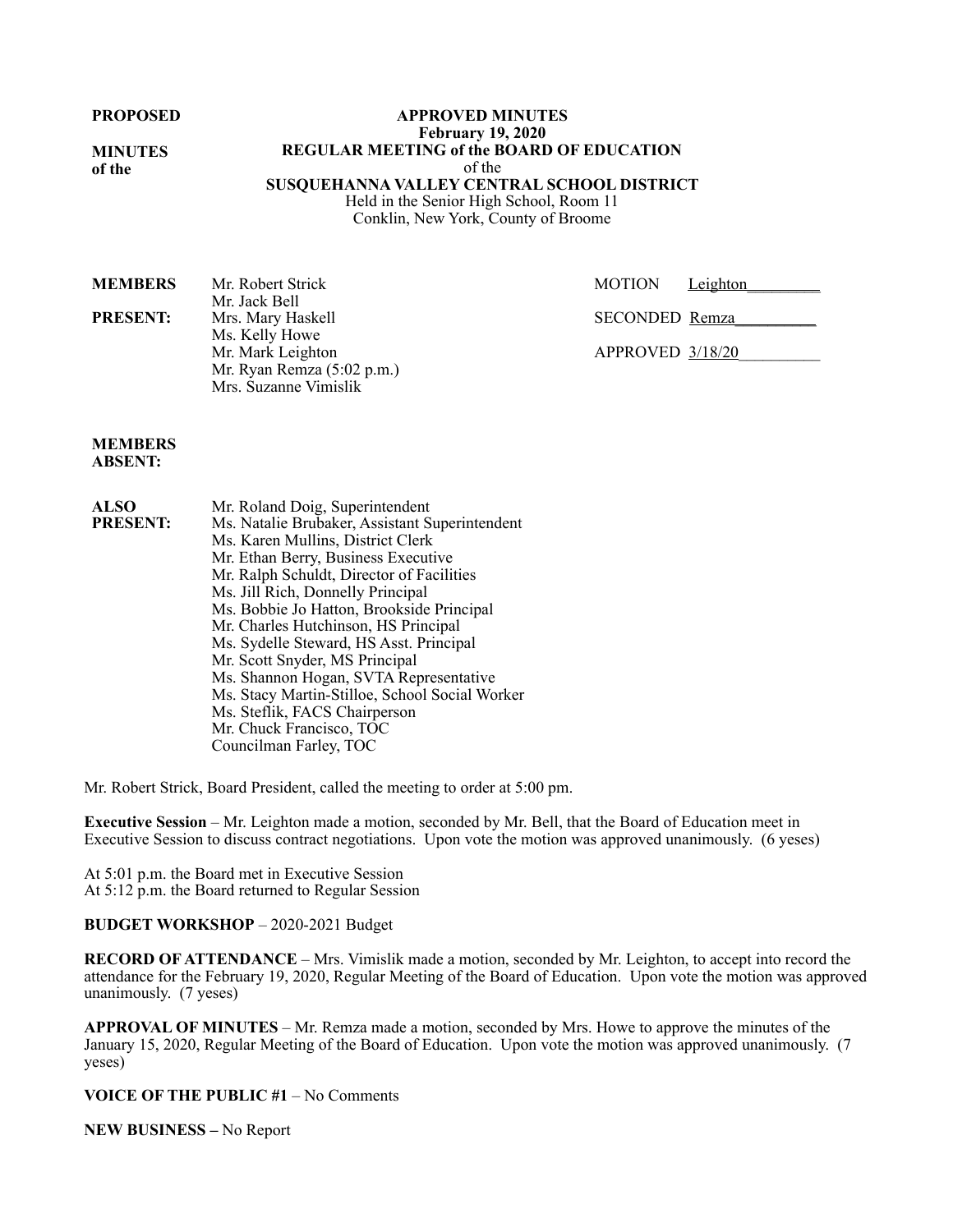**MINUTES of the**

**APPROVED MINUTES February 19, 2020 REGULAR MEETING of the BOARD OF EDUCATION**  of the **SUSQUEHANNA VALLEY CENTRAL SCHOOL DISTRICT**  Held in the Senior High School, Room 11

Conklin, New York, County of Broome

| <b>MEMBERS</b>  | Mr. Robert Strick          | <b>MOTION</b><br>Leighton |
|-----------------|----------------------------|---------------------------|
|                 | Mr. Jack Bell              |                           |
| <b>PRESENT:</b> | Mrs. Mary Haskell          | SECONDED Remza            |
|                 | Ms. Kelly Howe             |                           |
|                 | Mr. Mark Leighton          | APPROVED 3/18/20          |
|                 | Mr. Ryan Remza (5:02 p.m.) |                           |
|                 | Mrs. Suzanne Vimislik      |                           |

#### **MEMBERS ABSENT:**

| <b>ALSO</b>     | Mr. Roland Doig, Superintendent                |
|-----------------|------------------------------------------------|
| <b>PRESENT:</b> | Ms. Natalie Brubaker, Assistant Superintendent |
|                 | Ms. Karen Mullins, District Clerk              |
|                 | Mr. Ethan Berry, Business Executive            |
|                 | Mr. Ralph Schuldt, Director of Facilities      |
|                 | Ms. Jill Rich, Donnelly Principal              |
|                 | Ms. Bobbie Jo Hatton, Brookside Principal      |
|                 | Mr. Charles Hutchinson, HS Principal           |
|                 | Ms. Sydelle Steward, HS Asst. Principal        |
|                 | Mr. Scott Snyder, MS Principal                 |
|                 | Ms. Shannon Hogan, SVTA Representative         |
|                 | Ms. Stacy Martin-Stilloe, School Social Worker |
|                 | Ms. Steflik, FACS Chairperson                  |
|                 | Mr. Chuck Francisco, TOC                       |

Councilman Farley, TOC

Mr. Robert Strick, Board President, called the meeting to order at 5:00 pm.

**Executive Session** – Mr. Leighton made a motion, seconded by Mr. Bell, that the Board of Education meet in Executive Session to discuss contract negotiations. Upon vote the motion was approved unanimously. (6 yeses)

At 5:01 p.m. the Board met in Executive Session At 5:12 p.m. the Board returned to Regular Session

## **BUDGET WORKSHOP** – 2020-2021 Budget

**RECORD OF ATTENDANCE** – Mrs. Vimislik made a motion, seconded by Mr. Leighton, to accept into record the attendance for the February 19, 2020, Regular Meeting of the Board of Education. Upon vote the motion was approved unanimously. (7 yeses)

**APPROVAL OF MINUTES** – Mr. Remza made a motion, seconded by Mrs. Howe to approve the minutes of the January 15, 2020, Regular Meeting of the Board of Education. Upon vote the motion was approved unanimously. (7 yeses)

**VOICE OF THE PUBLIC #1** – No Comments

**NEW BUSINESS –** No Report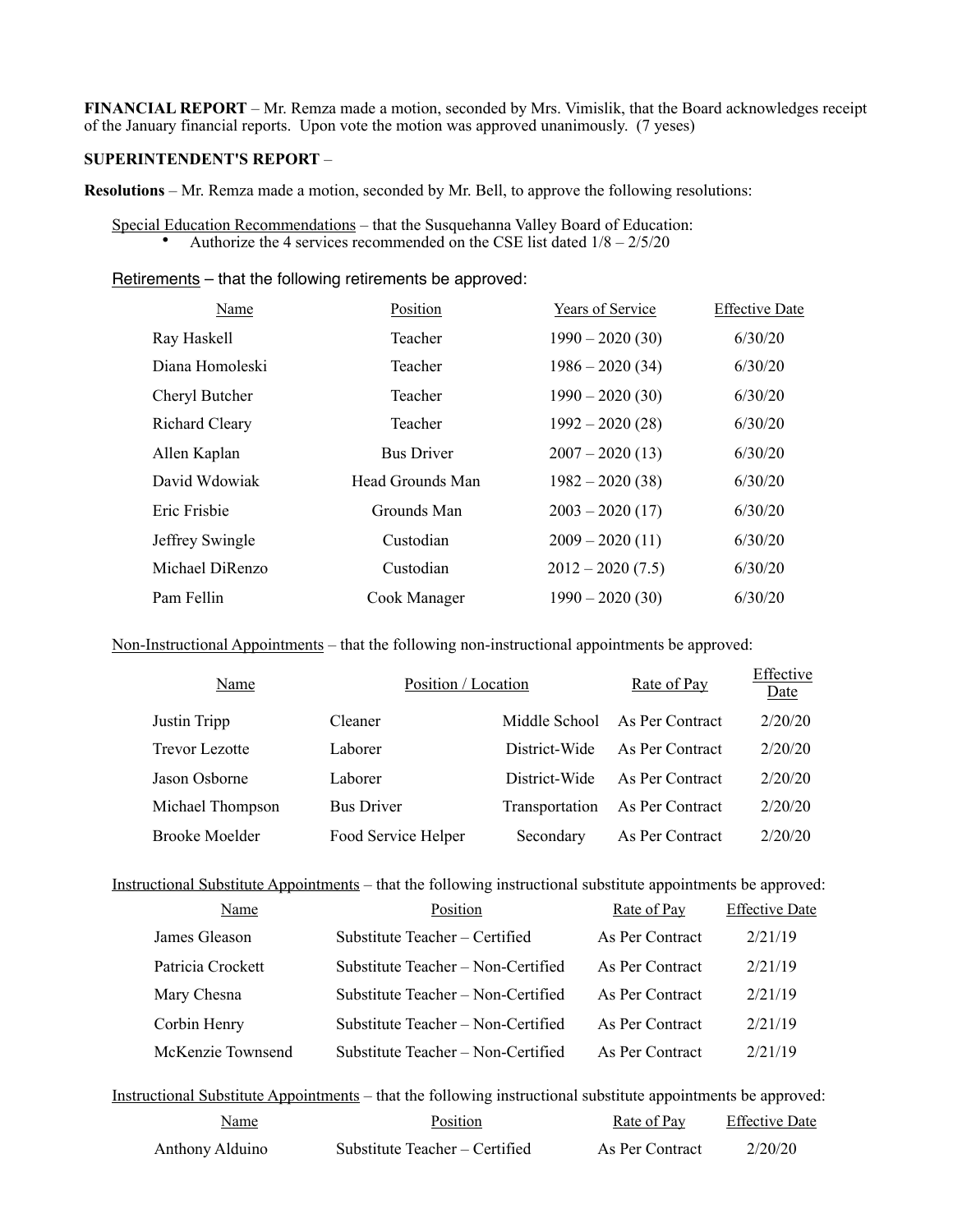**FINANCIAL REPORT** – Mr. Remza made a motion, seconded by Mrs. Vimislik, that the Board acknowledges receipt of the January financial reports. Upon vote the motion was approved unanimously. (7 yeses)

### **SUPERINTENDENT'S REPORT** –

**Resolutions** – Mr. Remza made a motion, seconded by Mr. Bell, to approve the following resolutions:

Special Education Recommendations – that the Susquehanna Valley Board of Education: • Authorize the 4 services recommended on the CSE list dated  $1/8 - 2/5/20$ 

Retirements – that the following retirements be approved:

| Name                  | Position          | Years of Service   | <b>Effective Date</b> |
|-----------------------|-------------------|--------------------|-----------------------|
| Ray Haskell           | Teacher           | $1990 - 2020(30)$  | 6/30/20               |
| Diana Homoleski       | Teacher           | $1986 - 2020(34)$  | 6/30/20               |
| Cheryl Butcher        | Teacher           | $1990 - 2020(30)$  | 6/30/20               |
| <b>Richard Cleary</b> | Teacher           | $1992 - 2020(28)$  | 6/30/20               |
| Allen Kaplan          | <b>Bus Driver</b> | $2007 - 2020(13)$  | 6/30/20               |
| David Wdowiak         | Head Grounds Man  | $1982 - 2020(38)$  | 6/30/20               |
| Eric Frisbie          | Grounds Man       | $2003 - 2020(17)$  | 6/30/20               |
| Jeffrey Swingle       | Custodian         | $2009 - 2020(11)$  | 6/30/20               |
| Michael DiRenzo       | Custodian         | $2012 - 2020(7.5)$ | 6/30/20               |
| Pam Fellin            | Cook Manager      | $1990 - 2020(30)$  | 6/30/20               |

Non-Instructional Appointments – that the following non-instructional appointments be approved:

| Name                  | Position / Location |                | Rate of Pay     | Effective<br>Date |
|-----------------------|---------------------|----------------|-----------------|-------------------|
| Justin Tripp          | Cleaner             | Middle School  | As Per Contract | 2/20/20           |
| <b>Trevor Lezotte</b> | Laborer             | District-Wide  | As Per Contract | 2/20/20           |
| Jason Osborne         | Laborer             | District-Wide  | As Per Contract | 2/20/20           |
| Michael Thompson      | <b>Bus Driver</b>   | Transportation | As Per Contract | 2/20/20           |
| <b>Brooke Moelder</b> | Food Service Helper | Secondary      | As Per Contract | 2/20/20           |

Instructional Substitute Appointments – that the following instructional substitute appointments be approved:

| Name              | Position                           | Rate of Pay     | <b>Effective Date</b> |
|-------------------|------------------------------------|-----------------|-----------------------|
| James Gleason     | Substitute Teacher – Certified     | As Per Contract | 2/21/19               |
| Patricia Crockett | Substitute Teacher – Non-Certified | As Per Contract | 2/21/19               |
| Mary Chesna       | Substitute Teacher - Non-Certified | As Per Contract | 2/21/19               |
| Corbin Henry      | Substitute Teacher – Non-Certified | As Per Contract | 2/21/19               |
| McKenzie Townsend | Substitute Teacher - Non-Certified | As Per Contract | 2/21/19               |

Instructional Substitute Appointments – that the following instructional substitute appointments be approved: Name Position Rate of Pay Effective Date

| wane            | 1 USHUUH                       | <b>IVALUE OI LAV</b> | <b>LIRE ISLE</b> |
|-----------------|--------------------------------|----------------------|------------------|
| Anthony Alduino | Substitute Teacher – Certified | As Per Contract      | 2/20/20          |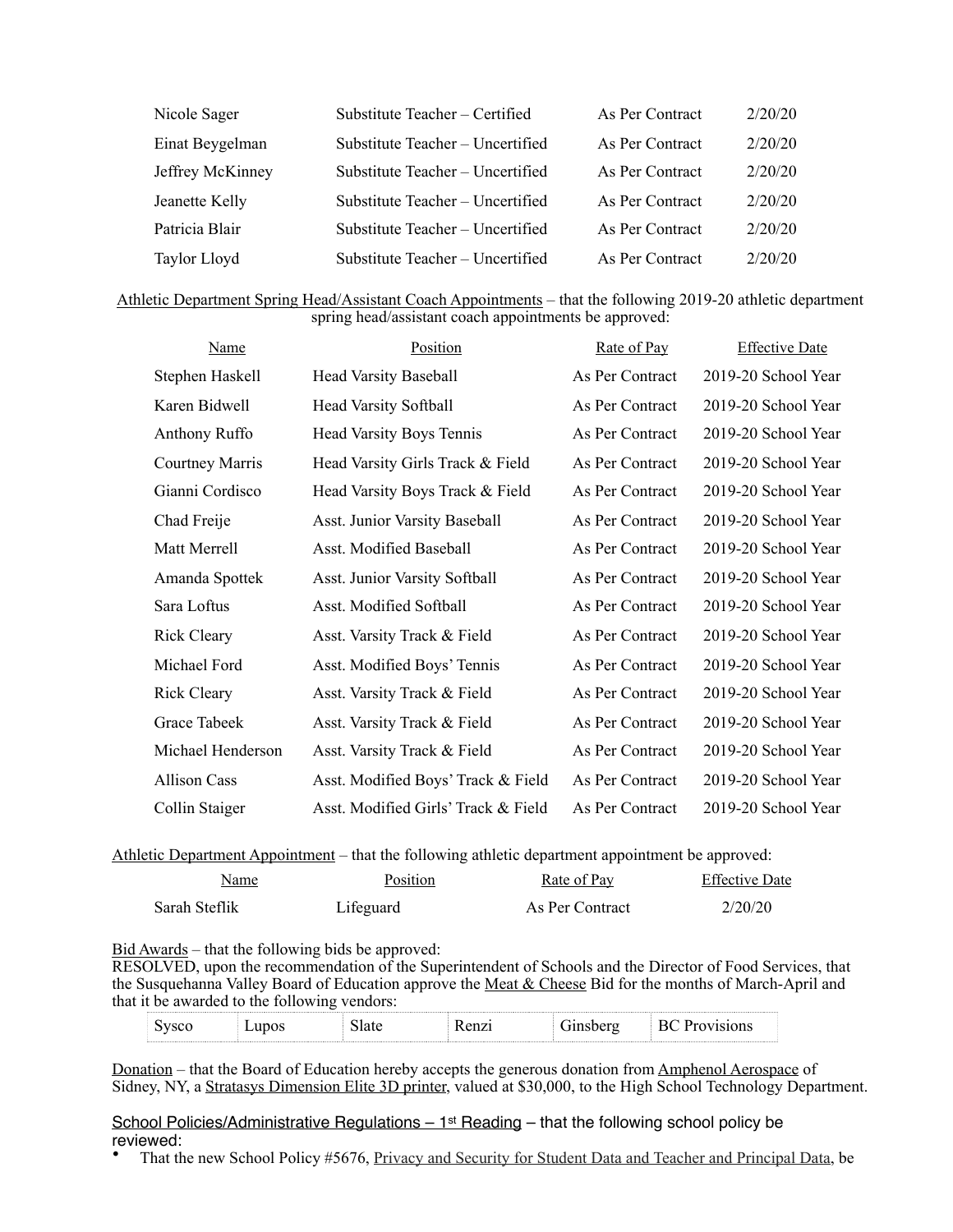| Nicole Sager     | Substitute Teacher - Certified   | As Per Contract | 2/20/20 |
|------------------|----------------------------------|-----------------|---------|
| Einat Beygelman  | Substitute Teacher – Uncertified | As Per Contract | 2/20/20 |
| Jeffrey McKinney | Substitute Teacher - Uncertified | As Per Contract | 2/20/20 |
| Jeanette Kelly   | Substitute Teacher – Uncertified | As Per Contract | 2/20/20 |
| Patricia Blair   | Substitute Teacher - Uncertified | As Per Contract | 2/20/20 |
| Taylor Lloyd     | Substitute Teacher - Uncertified | As Per Contract | 2/20/20 |

| Athletic Department Spring Head/Assistant Coach Appointments – that the following 2019-20 athletic department |
|---------------------------------------------------------------------------------------------------------------|
| spring head/assistant coach appointments be approved:                                                         |

| <b>Name</b>         | Position                            | Rate of Pay     | <b>Effective Date</b> |
|---------------------|-------------------------------------|-----------------|-----------------------|
| Stephen Haskell     | <b>Head Varsity Baseball</b>        | As Per Contract | 2019-20 School Year   |
| Karen Bidwell       | <b>Head Varsity Softball</b>        | As Per Contract | 2019-20 School Year   |
| Anthony Ruffo       | <b>Head Varsity Boys Tennis</b>     | As Per Contract | 2019-20 School Year   |
| Courtney Marris     | Head Varsity Girls Track & Field    | As Per Contract | 2019-20 School Year   |
| Gianni Cordisco     | Head Varsity Boys Track & Field     | As Per Contract | 2019-20 School Year   |
| Chad Freije         | Asst. Junior Varsity Baseball       | As Per Contract | 2019-20 School Year   |
| Matt Merrell        | Asst. Modified Baseball             | As Per Contract | 2019-20 School Year   |
| Amanda Spottek      | Asst. Junior Varsity Softball       | As Per Contract | 2019-20 School Year   |
| Sara Loftus         | Asst. Modified Softball             | As Per Contract | 2019-20 School Year   |
| <b>Rick Cleary</b>  | Asst. Varsity Track & Field         | As Per Contract | 2019-20 School Year   |
| Michael Ford        | Asst. Modified Boys' Tennis         | As Per Contract | 2019-20 School Year   |
| <b>Rick Cleary</b>  | Asst. Varsity Track & Field         | As Per Contract | 2019-20 School Year   |
| Grace Tabeek        | Asst. Varsity Track & Field         | As Per Contract | 2019-20 School Year   |
| Michael Henderson   | Asst. Varsity Track & Field         | As Per Contract | 2019-20 School Year   |
| <b>Allison Cass</b> | Asst. Modified Boys' Track & Field  | As Per Contract | 2019-20 School Year   |
| Collin Staiger      | Asst. Modified Girls' Track & Field | As Per Contract | 2019-20 School Year   |

Athletic Department Appointment – that the following athletic department appointment be approved:

| Name          | Position  | Rate of Pay     | <b>Effective Date</b> |
|---------------|-----------|-----------------|-----------------------|
| Sarah Steflik | Lifeguard | As Per Contract | 2/20/20               |

# Bid Awards – that the following bids be approved:

RESOLVED, upon the recommendation of the Superintendent of Schools and the Director of Food Services, that the Susquehanna Valley Board of Education approve the Meat & Cheese Bid for the months of March-April and that it be awarded to the following vendors:

| 1700        | anos<br><b>__</b> | $\alpha n \tau$<br>'IIZI<br>_______ | ----- | . |
|-------------|-------------------|-------------------------------------|-------|---|
| ----------- |                   |                                     |       |   |

Donation – that the Board of Education hereby accepts the generous donation from Amphenol Aerospace of Sidney, NY, a Stratasys Dimension Elite 3D printer, valued at \$30,000, to the High School Technology Department.

School Policies/Administrative Regulations - 1<sup>st</sup> Reading - that the following school policy be reviewed:<br>• That th

• That the new School Policy #5676, Privacy and Security for Student Data and Teacher and Principal Data, be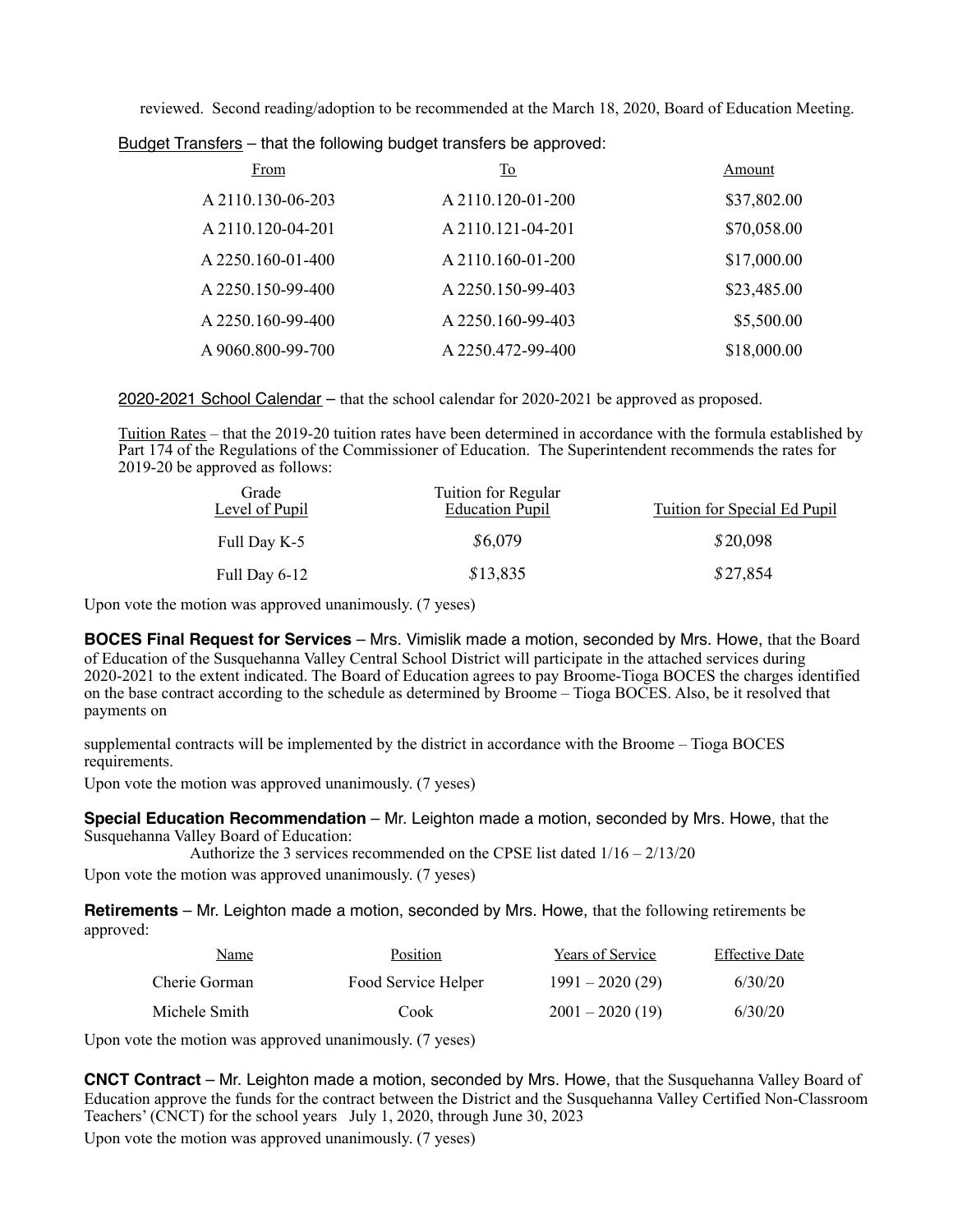reviewed. Second reading/adoption to be recommended at the March 18, 2020, Board of Education Meeting.

Budget Transfers – that the following budget transfers be approved:

| From              | $\underline{\operatorname{To}}$ | Amount      |
|-------------------|---------------------------------|-------------|
| A 2110.130-06-203 | A 2110.120-01-200               | \$37,802.00 |
| A 2110.120-04-201 | A 2110.121-04-201               | \$70,058.00 |
| A 2250.160-01-400 | A 2110.160-01-200               | \$17,000.00 |
| A 2250.150-99-400 | A 2250.150-99-403               | \$23,485.00 |
| A 2250.160-99-400 | A 2250.160-99-403               | \$5,500.00  |
| A 9060.800-99-700 | A 2250.472-99-400               | \$18,000.00 |

2020-2021 School Calendar – that the school calendar for 2020-2021 be approved as proposed.

Tuition Rates – that the 2019-20 tuition rates have been determined in accordance with the formula established by Part 174 of the Regulations of the Commissioner of Education. The Superintendent recommends the rates for 2019-20 be approved as follows:

| Grade<br>Level of Pupil | Tuition for Regular<br><b>Education Pupil</b> | Tuition for Special Ed Pupil |
|-------------------------|-----------------------------------------------|------------------------------|
| Full Day K-5            | \$6,079                                       | \$20,098                     |
| Full Day 6-12           | \$13,835                                      | \$27,854                     |

Upon vote the motion was approved unanimously. (7 yeses)

**BOCES Final Request for Services** – Mrs. Vimislik made a motion, seconded by Mrs. Howe, that the Board of Education of the Susquehanna Valley Central School District will participate in the attached services during 2020-2021 to the extent indicated. The Board of Education agrees to pay Broome-Tioga BOCES the charges identified on the base contract according to the schedule as determined by Broome – Tioga BOCES. Also, be it resolved that payments on

supplemental contracts will be implemented by the district in accordance with the Broome – Tioga BOCES requirements.

Upon vote the motion was approved unanimously. (7 yeses)

**Special Education Recommendation** – Mr. Leighton made a motion, seconded by Mrs. Howe, that the Susquehanna Valley Board of Education:

Authorize the 3 services recommended on the CPSE list dated 1/16 – 2/13/20

Upon vote the motion was approved unanimously. (7 yeses)

**Retirements** – Mr. Leighton made a motion, seconded by Mrs. Howe, that the following retirements be approved:

| Name          | Position            | Years of Service  | <b>Effective Date</b> |
|---------------|---------------------|-------------------|-----------------------|
| Cherie Gorman | Food Service Helper | $1991 - 2020(29)$ | 6/30/20               |
| Michele Smith | Cook                | $2001 - 2020(19)$ | 6/30/20               |

Upon vote the motion was approved unanimously. (7 yeses)

**CNCT Contract** – Mr. Leighton made a motion, seconded by Mrs. Howe, that the Susquehanna Valley Board of Education approve the funds for the contract between the District and the Susquehanna Valley Certified Non-Classroom Teachers' (CNCT) for the school years July 1, 2020, through June 30, 2023

Upon vote the motion was approved unanimously. (7 yeses)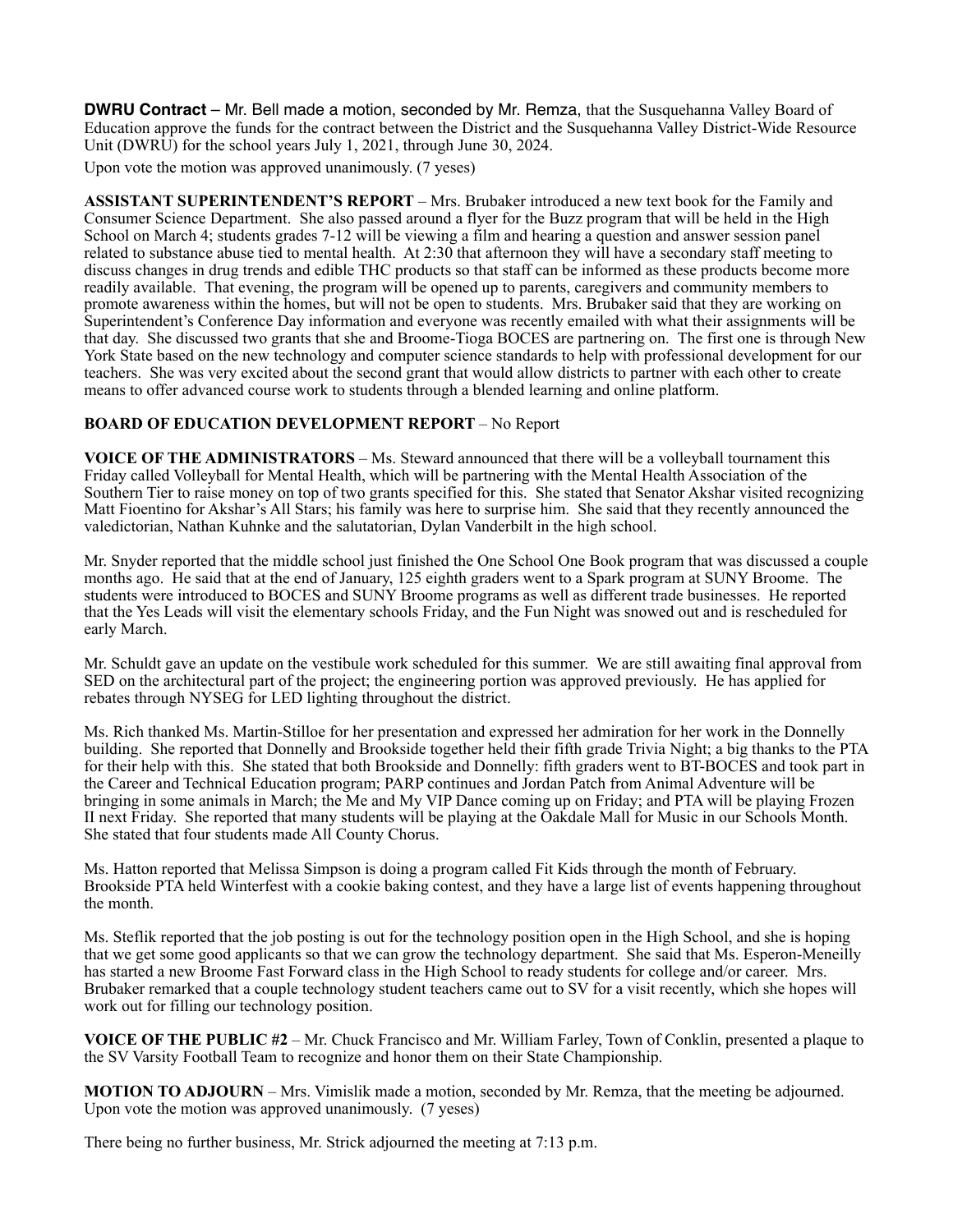**DWRU Contract** – Mr. Bell made a motion, seconded by Mr. Remza, that the Susquehanna Valley Board of Education approve the funds for the contract between the District and the Susquehanna Valley District-Wide Resource Unit (DWRU) for the school years July 1, 2021, through June 30, 2024.

Upon vote the motion was approved unanimously. (7 yeses)

**ASSISTANT SUPERINTENDENT'S REPORT** – Mrs. Brubaker introduced a new text book for the Family and Consumer Science Department. She also passed around a flyer for the Buzz program that will be held in the High School on March 4; students grades 7-12 will be viewing a film and hearing a question and answer session panel related to substance abuse tied to mental health. At 2:30 that afternoon they will have a secondary staff meeting to discuss changes in drug trends and edible THC products so that staff can be informed as these products become more readily available. That evening, the program will be opened up to parents, caregivers and community members to promote awareness within the homes, but will not be open to students. Mrs. Brubaker said that they are working on Superintendent's Conference Day information and everyone was recently emailed with what their assignments will be that day. She discussed two grants that she and Broome-Tioga BOCES are partnering on. The first one is through New York State based on the new technology and computer science standards to help with professional development for our teachers. She was very excited about the second grant that would allow districts to partner with each other to create means to offer advanced course work to students through a blended learning and online platform.

## **BOARD OF EDUCATION DEVELOPMENT REPORT - No Report**

**VOICE OF THE ADMINISTRATORS** – Ms. Steward announced that there will be a volleyball tournament this Friday called Volleyball for Mental Health, which will be partnering with the Mental Health Association of the Southern Tier to raise money on top of two grants specified for this. She stated that Senator Akshar visited recognizing Matt Fioentino for Akshar's All Stars; his family was here to surprise him. She said that they recently announced the valedictorian, Nathan Kuhnke and the salutatorian, Dylan Vanderbilt in the high school.

Mr. Snyder reported that the middle school just finished the One School One Book program that was discussed a couple months ago. He said that at the end of January, 125 eighth graders went to a Spark program at SUNY Broome. The students were introduced to BOCES and SUNY Broome programs as well as different trade businesses. He reported that the Yes Leads will visit the elementary schools Friday, and the Fun Night was snowed out and is rescheduled for early March.

Mr. Schuldt gave an update on the vestibule work scheduled for this summer. We are still awaiting final approval from SED on the architectural part of the project; the engineering portion was approved previously. He has applied for rebates through NYSEG for LED lighting throughout the district.

Ms. Rich thanked Ms. Martin-Stilloe for her presentation and expressed her admiration for her work in the Donnelly building. She reported that Donnelly and Brookside together held their fifth grade Trivia Night; a big thanks to the PTA for their help with this. She stated that both Brookside and Donnelly: fifth graders went to BT-BOCES and took part in the Career and Technical Education program; PARP continues and Jordan Patch from Animal Adventure will be bringing in some animals in March; the Me and My VIP Dance coming up on Friday; and PTA will be playing Frozen II next Friday. She reported that many students will be playing at the Oakdale Mall for Music in our Schools Month. She stated that four students made All County Chorus.

Ms. Hatton reported that Melissa Simpson is doing a program called Fit Kids through the month of February. Brookside PTA held Winterfest with a cookie baking contest, and they have a large list of events happening throughout the month.

Ms. Steflik reported that the job posting is out for the technology position open in the High School, and she is hoping that we get some good applicants so that we can grow the technology department. She said that Ms. Esperon-Meneilly has started a new Broome Fast Forward class in the High School to ready students for college and/or career. Mrs. Brubaker remarked that a couple technology student teachers came out to SV for a visit recently, which she hopes will work out for filling our technology position.

**VOICE OF THE PUBLIC #2** – Mr. Chuck Francisco and Mr. William Farley, Town of Conklin, presented a plaque to the SV Varsity Football Team to recognize and honor them on their State Championship.

**MOTION TO ADJOURN** – Mrs. Vimislik made a motion, seconded by Mr. Remza, that the meeting be adjourned. Upon vote the motion was approved unanimously. (7 yeses)

There being no further business, Mr. Strick adjourned the meeting at 7:13 p.m.